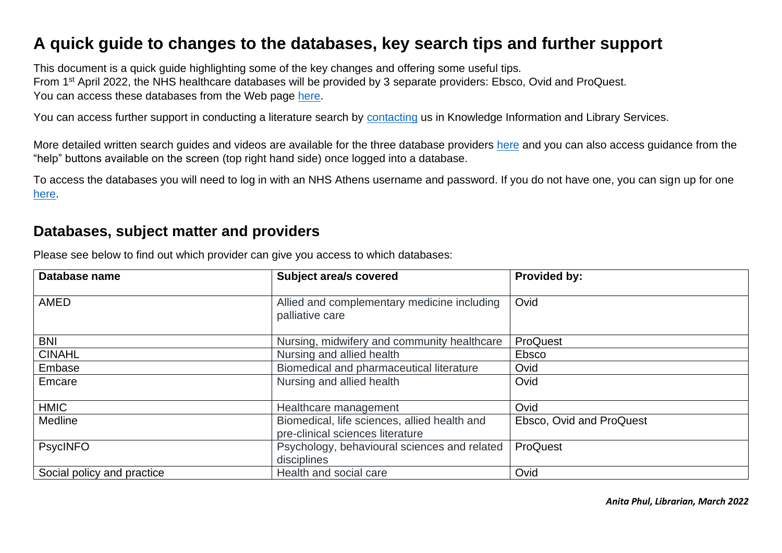## **A quick guide to changes to the databases, key search tips and further support**

This document is a quick guide highlighting some of the key changes and offering some useful tips. From 1<sup>st</sup> April 2022, the NHS healthcare databases will be provided by 3 separate providers: Ebsco, Ovid and ProQuest. You can access these databases from the Web page [here.](https://library.nhs.uk/knowledgehub/resources-for-advanced-searching/)

You can access further support in conducting a literature search by [contacting](mailto:bsmhft.barberrylibrarysm@nhs.net) us in Knowledge Information and Library Services.

More detailed written search guides and videos are available for the three database providers [here](https://library.nhs.uk/knowledgehub/resources-for-advanced-searching/) and you can also access guidance from the "help" buttons available on the screen (top right hand side) once logged into a database.

To access the databases you will need to log in with an NHS Athens username and password. If you do not have one, you can sign up for one [here.](https://openathens.nice.org.uk/)

## **Databases, subject matter and providers**

| Database name              | <b>Subject area/s covered</b>                                                    | Provided by:             |  |
|----------------------------|----------------------------------------------------------------------------------|--------------------------|--|
| <b>AMED</b>                | Allied and complementary medicine including<br>palliative care                   | Ovid                     |  |
| <b>BNI</b>                 | Nursing, midwifery and community healthcare                                      | ProQuest                 |  |
| <b>CINAHL</b>              | Nursing and allied health                                                        | Ebsco                    |  |
| Embase                     | Biomedical and pharmaceutical literature                                         | Ovid                     |  |
| Emcare                     | Nursing and allied health                                                        | Ovid                     |  |
| <b>HMIC</b>                | Healthcare management                                                            | Ovid                     |  |
| Medline                    | Biomedical, life sciences, allied health and<br>pre-clinical sciences literature | Ebsco, Ovid and ProQuest |  |
| <b>PsycINFO</b>            | Psychology, behavioural sciences and related<br>disciplines                      | ProQuest                 |  |
| Social policy and practice | Health and social care                                                           | Ovid                     |  |

Please see below to find out which provider can give you access to which databases:

*Anita Phul, Librarian, March 2022*